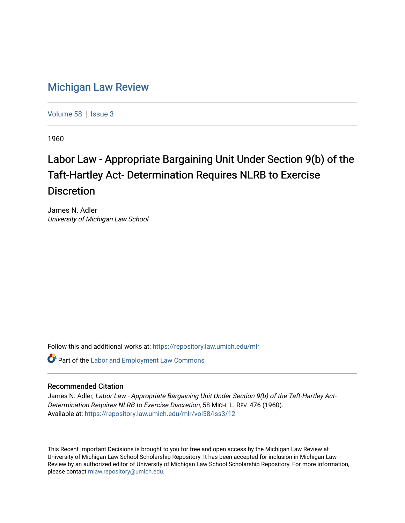## [Michigan Law Review](https://repository.law.umich.edu/mlr)

[Volume 58](https://repository.law.umich.edu/mlr/vol58) | [Issue 3](https://repository.law.umich.edu/mlr/vol58/iss3)

1960

## Labor Law - Appropriate Bargaining Unit Under Section 9(b) of the Taft-Hartley Act- Determination Requires NLRB to Exercise **Discretion**

James N. Adler University of Michigan Law School

Follow this and additional works at: [https://repository.law.umich.edu/mlr](https://repository.law.umich.edu/mlr?utm_source=repository.law.umich.edu%2Fmlr%2Fvol58%2Fiss3%2F12&utm_medium=PDF&utm_campaign=PDFCoverPages) 

**Part of the [Labor and Employment Law Commons](http://network.bepress.com/hgg/discipline/909?utm_source=repository.law.umich.edu%2Fmlr%2Fvol58%2Fiss3%2F12&utm_medium=PDF&utm_campaign=PDFCoverPages)** 

## Recommended Citation

James N. Adler, Labor Law - Appropriate Bargaining Unit Under Section 9(b) of the Taft-Hartley Act-Determination Requires NLRB to Exercise Discretion, 58 MICH. L. REV. 476 (1960). Available at: [https://repository.law.umich.edu/mlr/vol58/iss3/12](https://repository.law.umich.edu/mlr/vol58/iss3/12?utm_source=repository.law.umich.edu%2Fmlr%2Fvol58%2Fiss3%2F12&utm_medium=PDF&utm_campaign=PDFCoverPages) 

This Recent Important Decisions is brought to you for free and open access by the Michigan Law Review at University of Michigan Law School Scholarship Repository. It has been accepted for inclusion in Michigan Law Review by an authorized editor of University of Michigan Law School Scholarship Repository. For more information, please contact [mlaw.repository@umich.edu.](mailto:mlaw.repository@umich.edu)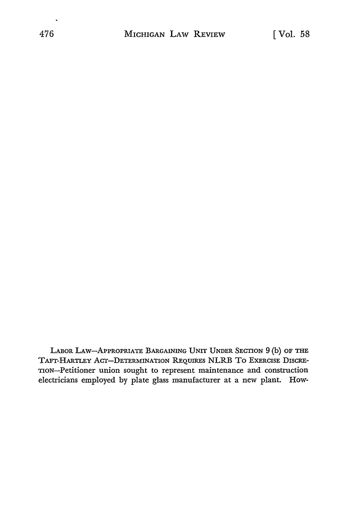LABOR LAW-APPROPRIATE BARGAINING UNIT UNDER SECTION 9 (b) OF THE TAFT-HARTLEY ACT-DETERMINATION REQUIRES NLRB To EXERCISE D1scRE-TION-Petitioner union sought to represent maintenance and construction electricians employed by plate glass manufacturer at a new plant. How-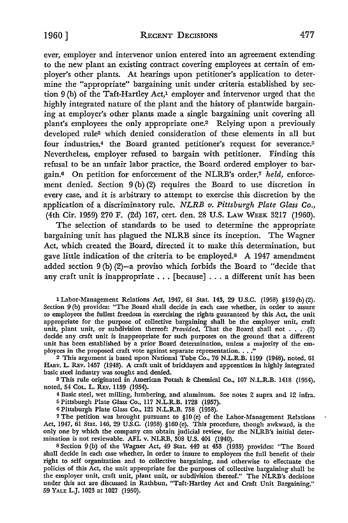ever, employer and intervenor union entered into an agreement extending to the new plant an existing contract covering employees at certain of employer's other plants. At hearings upon petitioner's application to determine the "appropriate" bargaining unit under criteria established by section 9 (b) of the Taft-Hartley Act,1 employer and intervenor urged that the highly integrated nature of the plant and the history of plantwide bargaining at employer's other plants made a single bargaining unit covering all plant's employees the only appropriate one.2 Relying upon a previously developed rules which denied consideration of these elements in all but four industries,<sup>4</sup> the Board granted petitioner's request for severance.<sup>5</sup> Nevertheless, employer refused to bargain with petitioner. Finding this refusal to be an unfair labor practice, the Board ordered employer to bargain.<sup>6</sup> On petition for enforcement of the NLRB's order,<sup>7</sup> held, enforcement denied. Section 9 (b) (2) requires the Board to use discretion in every case, and it is arbitrary to attempt to exercise this discretion by the application of a discriminatory rule. *NLRB v. Pittsburgh Plate Glass Co.,*  (4th Cir. 1959) 270 F. (2d) 167, cert. den. 28 U.S. LAW WEEK 3217 (1960).

The selection of standards to be used to determine the appropriate bargaining unit has plagued the NLRB since its inception. The Wagner Act, which created the Board, directed it to make this determination, but gave little indication of the criteria to be employed.8 A 1947 amendment added section 9 (b) (2)-a proviso which forbids the Board to "decide that any craft unit is inappropriate ... [because] ... a different unit has been

1 Labor-Management Relations Act, 1947, 61 Stat. 143, 29 U.S.C. (1958) §159 (b)(2). Section 9 (b) provides: "The Board shall decide in each case whether, in order to assure to employees the fullest freedom in exercising the rights guaranteed by this Act, the unit appropriate for the purpose of collective bargaining shall be the employer unit, craft unit, plant unit, or subdivision thereof: Provided, That the Board shall not  $\ldots$  (2) decide any craft unit is inappropriate for such purposes on the ground that a different unit has been established by a prior Board determination, unless a majority of the em-<br>ployees in the proposed craft vote against separate representation. . . ."

<sup>2</sup>This argument is based upon National Tube Co., 76 N.L.R.B. 1199 (1948), noted, 61 HARv. L. REv. 1457 (1948). A craft unit of bricklayers and apprentices in highly integrated basic steel industry was sought and denied.

s This rule originated in American Potash & Chemical Co., 107 N.L.R.B. 1418 (1954), noted, 54 CoL. L. REv. 1159 (1954).

<sup>4</sup>Basic steel, wet milling, lumbering, and aluminum. See notes 2 supra and 12 infra.

<sup>5</sup>Pittsburgh Plate Glass Co., 117 N.L.R.B. 1728 (1957). o Pittsburgh Plate Glass Co., 121 N.L.R.B. 758 (1958).

<sup>7</sup>The petition was brought pursuant to §10 (e) of the Labor-Management Relations Act, 1947, 61 Stat. 146, 29 U.S.C. (1958) §160 (e). This procedure, though awkward, is the only one by which the company can obtain judicial review, for the NLRB's initial determination is not reviewable. AFL v. NLRB, 308 U.S. 401 (1940).

s Section 9 (b) of the Wagner Act, 49 Stat. 449 at 453 (1935) provides: "The Board shall decide in each case whether, in order to insure to employees the full benefit of their right to self organization and to collective bargaining, and otherwise to effectuate the policies of this Act, the unit appropriate for the purposes of collective bargaining shall be the employer unit, craft unit, plant unit, or subdivision thereof." The NLRB's decisions under this act are discussed in Rathbun, "Taft-Hartley Act and Craft Unit Bargaining," 59 YALE L.J. 1023 at 1027 (1950).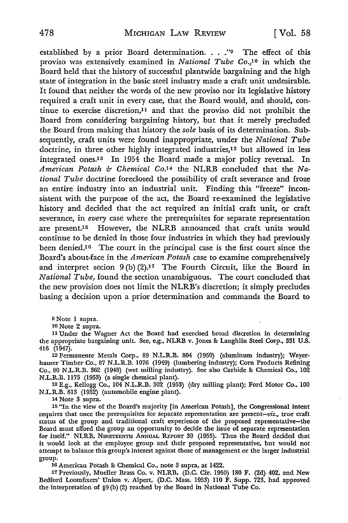established by a prior Board determination.  $\ldots$ ."<sup>9</sup> The effect of this proviso was extensively examined in *National Tube* Co.,1° in which the Board held that the history of successful plantwide bargaining and the high state of integration in the basic steel industry made a craft unit undesirable. It found that neither the words of the new proviso nor its legislative history required a craft unit in every case, that the Board would, and should, continue to exercise discretion,11 and that the proviso did not prohibit the Board from considering bargaining history, but that it merely precluded the Board from making that history the *sole* basis of its determination. Subsequently, craft units were found inappropriate, under the *National Tube*  doctrine, in three other highly integrated industries,<sup>12</sup> but allowed in less integrated ones.13 In 1954 the Board made a major policy reversal. In *American Potash & Chemical Co.14* the NLRB concluded that the *National Tube* doctrine foreclosed the possibility of craft severance and froze an entire industry into an industrial unit. Finding this "freeze" inconsistent with the purpose of the act, the Board re-examined the legislative history and decided that the act required an initial craft unit, or craft severance, in *every* case where the prerequisites for separate representation are present.<sup>15</sup> However, the NLRB announced that craft units would continue to be denied in those four industries in which they had previously been denied.<sup>16</sup> The court in the principal case is the first court since the Board's about-face in the *American Potash* case to examine comprehensively and interpret secion  $9(b)(2).17$  The Fourth Circuit, like the Board in *National Tube,* found the section unambiguous. The court concluded that the new provision does not limit the NLRB's discretion; it simply precludes basing a decision upon a prior determination and commands the Board to

9 Note 1 supra.

10 Note 2 supra.

11 Under the Wagner Act the Board had exercised broad discretion in determining the appropriate bargaining unit. See, e.g., NLRB v. Jones & Laughlin Steel Corp., 331 U.S. 416 (1947).

12 Permanente Metals Corp., 89 N.L.R.B. 804 (1950) (aluminum industry); Weyerhauser Timber Co., 87 N.L.R.B. 1076 (1949) (lumbering industry); Com Products Refining Co., 80 N.L.R.B. 362 (1948) (wet milling industry). See also Carbide & Chemical Co., 102 N.L.R.B. 1175 (1953) (a single chemical plant).

13 E.g., Kellogg Co., 104 N.L.R.B. 302 (1953) (dry milling plant); Ford Motor Co., 100 N.L.R.B. 813 (1952) (automobile engine plant).

14 Note 3 supra.

15 "In the view of the Board's majority [in American Potash], the Congressional intent requires that once the prerequisites for separate representation are present-viz., true craft status of the group and traditional craft experience of the proposed representative-the Board must afford the group an opportunity to decide the issue of separate representation for itself." NLRB, NINETEENTH ANNUAL REPORT 39 (1955). Thus the Board decided that it would look at the employee group and their proposed representative, but would not attempt to balance this group's interest against those of management or the larger industrial group.

16 American Potash & Chemical Co., note 3 supra, at 1422.

17 Previously, Mueller Brass Co. v. NLRB, (D.C. Cir. 1950) 180 F. (2d) 402, and New Bedford Loomfixers' Union v. Alpert, (D.C. Mass. 1953) 110 F. Supp. 723, had approved the interpretation of §9 (b) (2) reached by the Board in National Tube Co.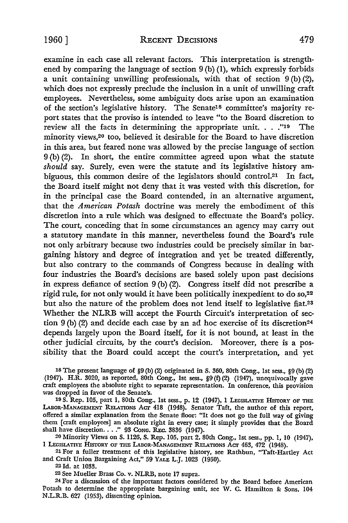examine in each case all relevant factors. This interpretation is strengthened by comparing the language of section 9 (b) (1), which expressly forbids a unit containing unwilling professionals, with that of section  $9(b)(2)$ , which does not expressly preclude the inclusion in a unit of unwilling craft employees. Nevertheless, some ambiguity does arise upon an examination of the section's legislative history. The Senate<sup>18</sup> committee's majority report states that the proviso is intended to leave "to the Board discretion to review all the facts in determining the appropriate unit. . . . "19 The minority views,<sup>20</sup> too, believed it desirable for the Board to have discretion in this area, but feared none was allowed by the precise language of section 9 (b) (2). In short, the entire committee agreed upon what the statute *should* say. Surely, even were the statute and its legislative history ambiguous, this common desire of the legislators should control.21 In fact, the Board itself might not deny that it was vested with this discretion, for in the principal case the Board contended, in an alternative argument, that the *American Potash* doctrine was merely the embodiment of this discretion into a rule which was designed to effectuate the Board's policy. The court, conceding that in some circumstances an agency may carry out a statutory mandate in this manner, nevertheless found the Board's rule not only arbitrary because two industries could be precisely similar in bargaining history and degree of integration and yet be treated differently, but also contrary to the commands of Congress because in dealing with four industries the Board's decisions are based solely upon past decisions in express defiance of section 9 (b) (2). Congress itself did not prescribe a rigid rule, for not only would it have been politically inexpedient to do so,22 but also the nature of the problem does not lend itself to legislative fiat.23 Whether the NLRB will accept the Fourth Circuit's interpretation of section 9 (b) (2) and decide each case by an ad hoc exercise of its discretion<sup>24</sup> depends largely upon the Board itself, for it is not bound, at least in the other judicial circuits, by the court's decision. Moreover, there is a possibility that the Board could accept the court's interpretation, and yet

18 The present language of §9 (b) (2) originated in S. 360, 80th Cong., 1st sess., §9 (b) (2) (1947). H.R. 3020, as reported, 80th Cong., 1st sess., §9 (f) (2) (1947), unequivocally gave craft employees the absolute right to separate representation. In conference, this provision was dropped in favor of the Senate's.

19 s. Rep. 105, part I, 80th Cong., 1st sess., p. 12 (1947), 1 LEGISLATIVE HrsroRY OF THE LABOR-MANAGEMENT RELATIONS ACT 418 (1948). Senator Taft, the author of this report, offered a similar explanation from the Senate floor: "It does not go the full way of giving them [craft employees] an absolute right in every case; it simply provides that the Board shall have discretion. . . . " 93 Conc. REC. 3836 (1947).

20 Minority Views on S. 1126, S. Rep. 105, part 2, 80th Cong., 1st sess., pp. I, IO (1947), 1 LEGISLATIVE HISTORY OF THE LABOR-MANAGEMENT RELATIONS ACT 463, 472 (1948).

21 For a fuller treatment of this legislative history, see Rathbun, "Taft-Hartley Act and Craft Union Bargaining Act," 59 YALE L.J. 1023 (1950).

22 Id. at 1033.

23See Mueller Brass Co. v. NLRB, note 17 supra.

24 For a discussion of the important factors considered by the Board before American Potash to determine the appropriate bargaining unit, see  $\dot{W}$ . C. Hamilton & Sons, 104 N .L.R.B. 627 (1953), dissenting opinion.